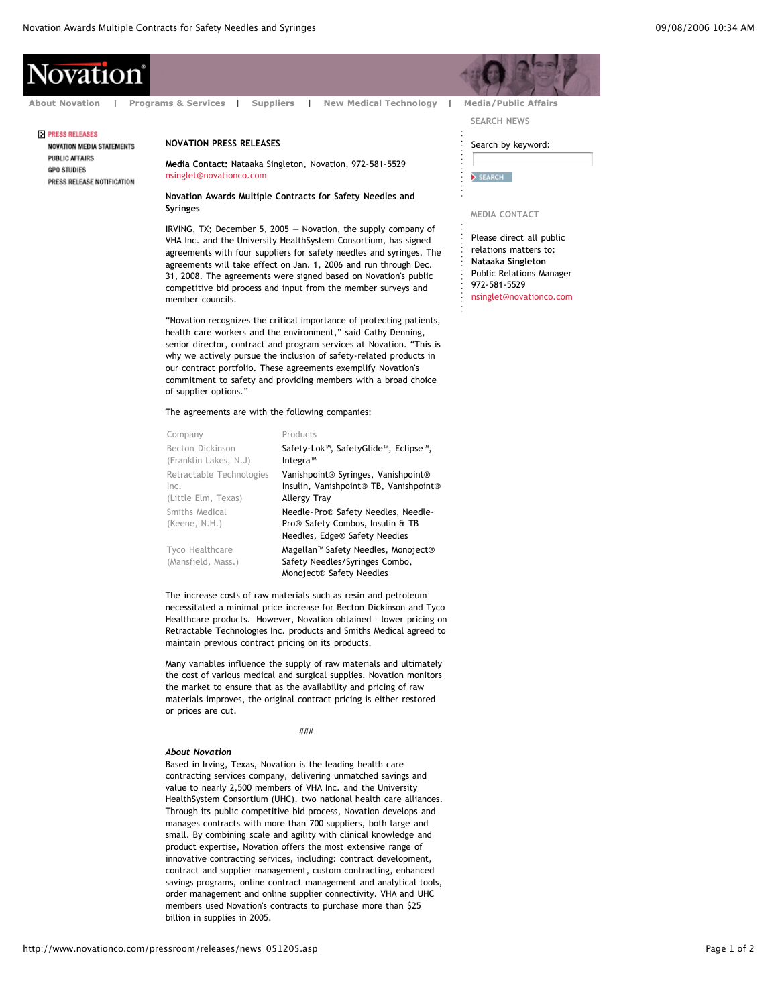# **\ovation**

## **PRESS RELEASES**

**NOVATION MEDIA STATEMENTS PUBLIC AFFAIRS GPO STUDIES** PRESS RELEASE NOTIFICATION

## **NOVATION PRESS RELEASES**

**Media Contact:** Nataaka Singleton, Novation, 972-581-5529 nsinglet@novationco.com

**Novation Awards Multiple Contracts for Safety Needles and Syringes**

IRVING, TX; December 5, 2005 — Novation, the supply company of VHA Inc. and the University HealthSystem Consortium, has signed agreements with four suppliers for safety needles and syringes. The agreements will take effect on Jan. 1, 2006 and run through Dec. 31, 2008. The agreements were signed based on Novation's public competitive bid process and input from the member surveys and member councils.

"Novation recognizes the critical importance of protecting patients, health care workers and the environment," said Cathy Denning, senior director, contract and program services at Novation. "This is why we actively pursue the inclusion of safety-related products in our contract portfolio. These agreements exemplify Novation's commitment to safety and providing members with a broad choice of supplier options."

The agreements are with the following companies:

| Company                                                 | Products                                                                                                      |
|---------------------------------------------------------|---------------------------------------------------------------------------------------------------------------|
| Becton Dickinson<br>(Franklin Lakes, N.J)               | Safety-Lok <sup>™</sup> , SafetyGlide™, Eclipse™,<br>Integra <sup>™</sup>                                     |
| Retractable Technologies<br>Inc.<br>(Little Elm, Texas) | Vanishpoint® Syringes, Vanishpoint®<br>Insulin, Vanishpoint® TB, Vanishpoint®<br>Allergy Tray                 |
| Smiths Medical<br>(Keene, N.H.)                         | Needle-Pro® Safety Needles, Needle-<br>Pro® Safety Combos, Insulin & TB<br>Needles, Edge® Safety Needles      |
| Tyco Healthcare<br>(Mansfield, Mass.)                   | Magellan <sup>™</sup> Safety Needles, Monoject®<br>Safety Needles/Syringes Combo,<br>Monoject® Safety Needles |

The increase costs of raw materials such as resin and petroleum necessitated a minimal price increase for Becton Dickinson and Tyco Healthcare products. However, Novation obtained – lower pricing on Retractable Technologies Inc. products and Smiths Medical agreed to maintain previous contract pricing on its products.

Many variables influence the supply of raw materials and ultimately the cost of various medical and surgical supplies. Novation monitors the market to ensure that as the availability and pricing of raw materials improves, the original contract pricing is either restored or prices are cut.

#### ###

### *About Novation*

Based in Irving, Texas, Novation is the leading health care contracting services company, delivering unmatched savings and value to nearly 2,500 members of VHA Inc. and the University HealthSystem Consortium (UHC), two national health care alliances. Through its public competitive bid process, Novation develops and manages contracts with more than 700 suppliers, both large and small. By combining scale and agility with clinical knowledge and product expertise, Novation offers the most extensive range of innovative contracting services, including: contract development, contract and supplier management, custom contracting, enhanced savings programs, online contract management and analytical tools, order management and online supplier connectivity. VHA and UHC members used Novation's contracts to purchase more than \$25 billion in supplies in 2005.

**SEARCH NEWS About Novation** | **Programs & Services** | **Suppliers** | **New Medical Technology** | **Media/Public Affairs**

## Search by keyword:

SEARCH

#### **MEDIA CONTACT**

Please direct all public relations matters to: **Nataaka Singleton** Public Relations Manager 972-581-5529 nsinglet@novationco.com